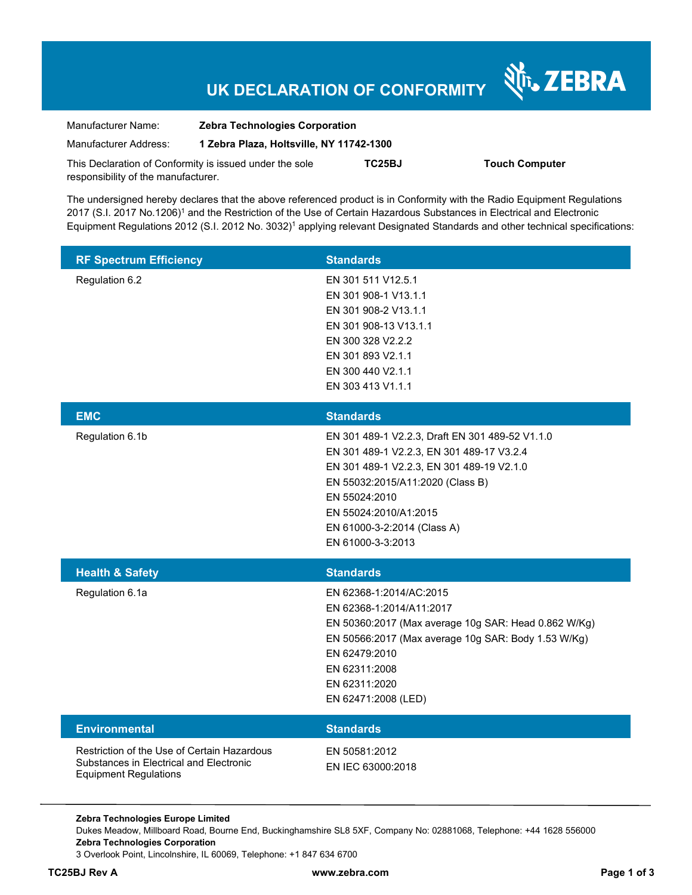# **UK DECLARATION OF CONFORMITY**

Nr. ZEBRA

| Manufacturer Name:                                      | <b>Zebra Technologies Corporation</b>    |        |                       |
|---------------------------------------------------------|------------------------------------------|--------|-----------------------|
| Manufacturer Address:                                   | 1 Zebra Plaza, Holtsville, NY 11742-1300 |        |                       |
| This Declaration of Conformity is issued under the sole |                                          | TC25BJ | <b>Touch Computer</b> |
| responsibility of the manufacturer.                     |                                          |        |                       |

The undersigned hereby declares that the above referenced product is in Conformity with the Radio Equipment Regulations 2017 (S.I. 2017 No.1206)<sup>1</sup> and the Restriction of the Use of Certain Hazardous Substances in Electrical and Electronic Equipment Regulations 2012 (S.I. 2012 No. 3032)<sup>1</sup> applying relevant Designated Standards and other technical specifications:

| <b>RF Spectrum Efficiency</b>                                                                                          | <b>Standards</b>                                                                                                                                                                                                                                                            |
|------------------------------------------------------------------------------------------------------------------------|-----------------------------------------------------------------------------------------------------------------------------------------------------------------------------------------------------------------------------------------------------------------------------|
| Regulation 6.2                                                                                                         | EN 301 511 V12.5.1<br>EN 301 908-1 V13.1.1<br>EN 301 908-2 V13.1.1<br>EN 301 908-13 V13.1.1<br>EN 300 328 V2.2.2<br>EN 301 893 V2.1.1<br>EN 300 440 V2.1.1<br>EN 303 413 V1.1.1                                                                                             |
| <b>EMC</b>                                                                                                             | <b>Standards</b>                                                                                                                                                                                                                                                            |
| Regulation 6.1b                                                                                                        | EN 301 489-1 V2.2.3, Draft EN 301 489-52 V1.1.0<br>EN 301 489-1 V2.2.3, EN 301 489-17 V3.2.4<br>EN 301 489-1 V2.2.3, EN 301 489-19 V2.1.0<br>EN 55032:2015/A11:2020 (Class B)<br>EN 55024:2010<br>EN 55024:2010/A1:2015<br>EN 61000-3-2:2014 (Class A)<br>EN 61000-3-3:2013 |
| <b>Health &amp; Safety</b>                                                                                             | <b>Standards</b>                                                                                                                                                                                                                                                            |
| Regulation 6.1a                                                                                                        | EN 62368-1:2014/AC:2015<br>EN 62368-1:2014/A11:2017<br>EN 50360:2017 (Max average 10g SAR: Head 0.862 W/Kg)<br>EN 50566:2017 (Max average 10g SAR: Body 1.53 W/Kg)<br>EN 62479:2010<br>EN 62311:2008<br>EN 62311:2020<br>EN 62471:2008 (LED)                                |
| <b>Environmental</b>                                                                                                   | <b>Standards</b>                                                                                                                                                                                                                                                            |
| Restriction of the Use of Certain Hazardous<br>Substances in Electrical and Electronic<br><b>Equipment Regulations</b> | EN 50581:2012<br>EN IEC 63000:2018                                                                                                                                                                                                                                          |

**Zebra Technologies Europe Limited**  Dukes Meadow, Millboard Road, Bourne End, Buckinghamshire SL8 5XF, Company No: 02881068, Telephone: +44 1628 556000 **Zebra Technologies Corporation**  3 Overlook Point, Lincolnshire, IL 60069, Telephone: +1 847 634 6700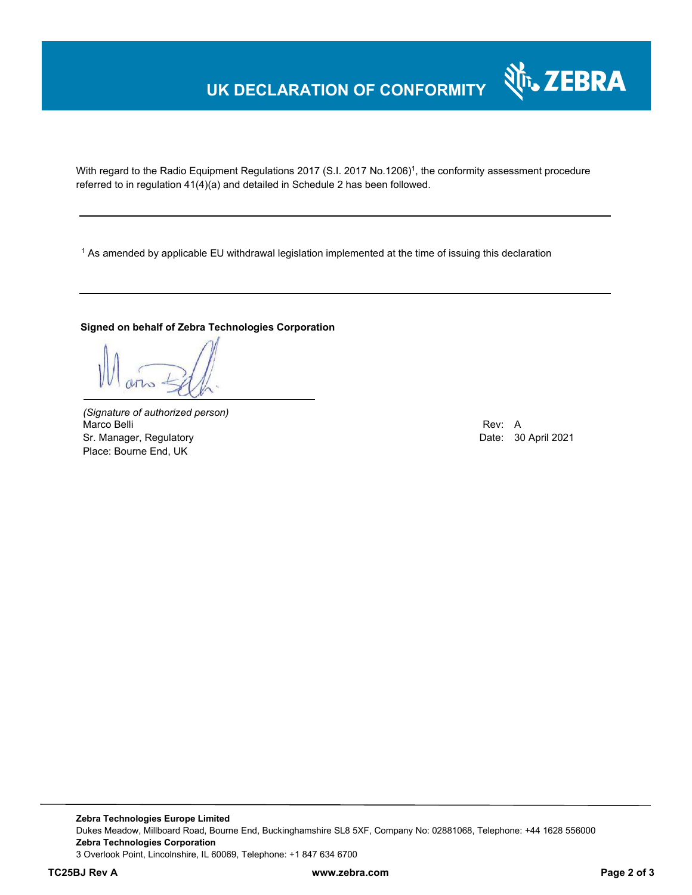## **UK DECLARATION OF CONFORMITY**

With regard to the Radio Equipment Regulations 2017 (S.I. 2017 No.1206)<sup>1</sup>, the conformity assessment procedure referred to in regulation 41(4)(a) and detailed in Schedule 2 has been followed.

 $^{\rm 1}$  As amended by applicable EU withdrawal legislation implemented at the time of issuing this declaration

### **Signed on behalf of Zebra Technologies Corporation**

*(Signature of authorized person)* Marco Belli Rev: A Sr. Manager, Regulatory **Date: 30 April 2021** Place: Bourne End, UK

Nr. ZEBRA